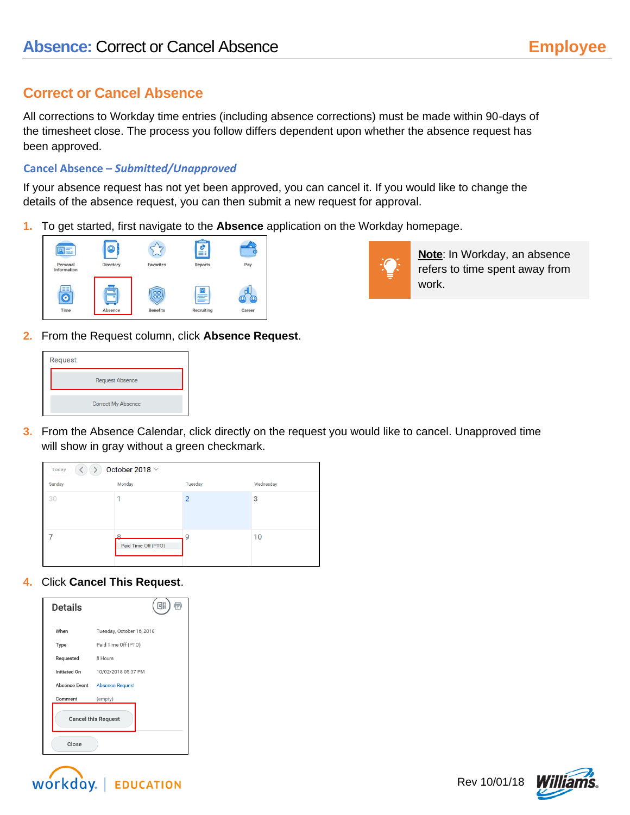## **Correct or Cancel Absence**

All corrections to Workday time entries (including absence corrections) must be made within 90-days of the timesheet close. The process you follow differs dependent upon whether the absence request has been approved.

## **Cancel Absence –** *Submitted/Unapproved*

If your absence request has not yet been approved, you can cancel it. If you would like to change the details of the absence request, you can then submit a new request for approval.

**1.** To get started, first navigate to the **Absence** application on the Workday homepage.





**Note**: In Workday, an absence refers to time spent away from work.

**2.** From the Request column, click **Absence Request**.



**3.** From the Absence Calendar, click directly on the request you would like to cancel. Unapproved time will show in gray without a green checkmark.

| October 2018 $\vee$<br>Today |                     |                |           |
|------------------------------|---------------------|----------------|-----------|
| Sunday                       | Monday              | Tuesday        | Wednesday |
| 30                           |                     | $\overline{2}$ | 3         |
|                              | Paid Time Off (PTO) | 9              | 10        |

**4.** Click **Cancel This Request**.

| Details                    | Ε                             |  |  |
|----------------------------|-------------------------------|--|--|
| When                       | Tuesday, October 16, 2018     |  |  |
| Type                       | Paid Time Off (PTO)           |  |  |
| Requested                  | 8 Hours                       |  |  |
| Initiated On               | 10/02/2018 05:37 PM           |  |  |
|                            | Absence Event Absence Request |  |  |
| Comment                    | (empty)                       |  |  |
| <b>Cancel this Request</b> |                               |  |  |
| Close                      |                               |  |  |



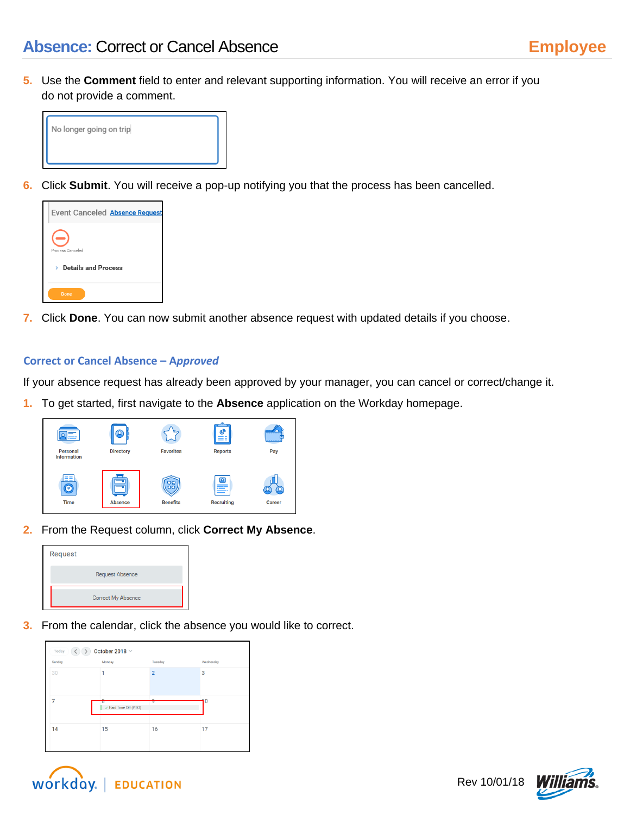**5.** Use the **Comment** field to enter and relevant supporting information. You will receive an error if you do not provide a comment.



**6.** Click **Submit**. You will receive a pop-up notifying you that the process has been cancelled.



**7.** Click **Done**. You can now submit another absence request with updated details if you choose.

## **Correct or Cancel Absence – A***pproved*

If your absence request has already been approved by your manager, you can cancel or correct/change it.

**1.** To get started, first navigate to the **Absence** application on the Workday homepage.



**2.** From the Request column, click **Correct My Absence**.



**3.** From the calendar, click the absence you would like to correct.